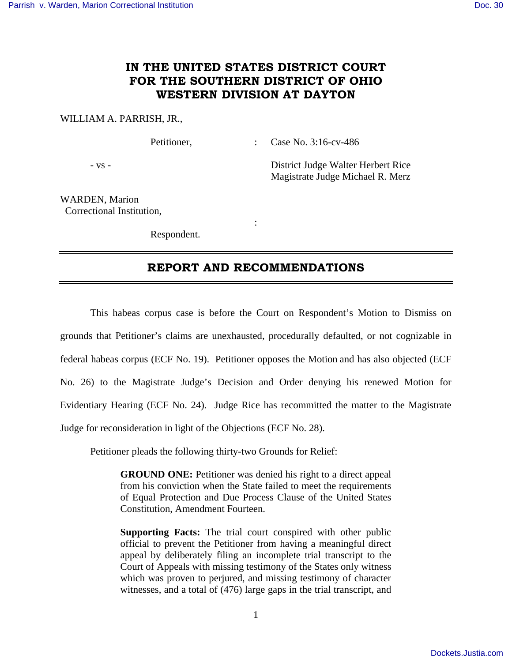## **IN THE UNITED STATES DISTRICT COURT FOR THE SOUTHERN DISTRICT OF OHIO WESTERN DIVISION AT DAYTON**

### WILLIAM A. PARRISH, JR.,

Petitioner, : Case No. 3:16-cv-486

- vs - District Judge Walter Herbert Rice Magistrate Judge Michael R. Merz

WARDEN, Marion Correctional Institution,

Respondent.

**Service State State State** 

## **REPORT AND RECOMMENDATIONS**

This habeas corpus case is before the Court on Respondent's Motion to Dismiss on grounds that Petitioner's claims are unexhausted, procedurally defaulted, or not cognizable in federal habeas corpus (ECF No. 19). Petitioner opposes the Motion and has also objected (ECF No. 26) to the Magistrate Judge's Decision and Order denying his renewed Motion for Evidentiary Hearing (ECF No. 24). Judge Rice has recommitted the matter to the Magistrate Judge for reconsideration in light of the Objections (ECF No. 28).

Petitioner pleads the following thirty-two Grounds for Relief:

**GROUND ONE:** Petitioner was denied his right to a direct appeal from his conviction when the State failed to meet the requirements of Equal Protection and Due Process Clause of the United States Constitution, Amendment Fourteen.

**Supporting Facts:** The trial court conspired with other public official to prevent the Petitioner from having a meaningful direct appeal by deliberately filing an incomplete trial transcript to the Court of Appeals with missing testimony of the States only witness which was proven to perjured, and missing testimony of character witnesses, and a total of (476) large gaps in the trial transcript, and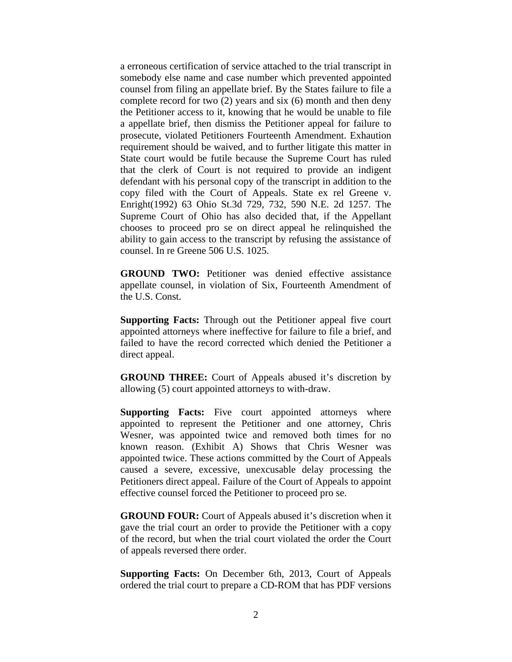a erroneous certification of service attached to the trial transcript in somebody else name and case number which prevented appointed counsel from filing an appellate brief. By the States failure to file a complete record for two (2) years and six (6) month and then deny the Petitioner access to it, knowing that he would be unable to file a appellate brief, then dismiss the Petitioner appeal for failure to prosecute, violated Petitioners Fourteenth Amendment. Exhaution requirement should be waived, and to further litigate this matter in State court would be futile because the Supreme Court has ruled that the clerk of Court is not required to provide an indigent defendant with his personal copy of the transcript in addition to the copy filed with the Court of Appeals. State ex rel Greene v. Enright(1992) 63 Ohio St.3d 729, 732, 590 N.E. 2d 1257. The Supreme Court of Ohio has also decided that, if the Appellant chooses to proceed pro se on direct appeal he relinquished the ability to gain access to the transcript by refusing the assistance of counsel. In re Greene 506 U.S. 1025.

**GROUND TWO:** Petitioner was denied effective assistance appellate counsel, in violation of Six, Fourteenth Amendment of the U.S. Const.

**Supporting Facts:** Through out the Petitioner appeal five court appointed attorneys where ineffective for failure to file a brief, and failed to have the record corrected which denied the Petitioner a direct appeal.

**GROUND THREE:** Court of Appeals abused it's discretion by allowing (5) court appointed attorneys to with-draw.

**Supporting Facts:** Five court appointed attorneys where appointed to represent the Petitioner and one attorney, Chris Wesner, was appointed twice and removed both times for no known reason. (Exhibit A) Shows that Chris Wesner was appointed twice. These actions committed by the Court of Appeals caused a severe, excessive, unexcusable delay processing the Petitioners direct appeal. Failure of the Court of Appeals to appoint effective counsel forced the Petitioner to proceed pro se.

**GROUND FOUR:** Court of Appeals abused it's discretion when it gave the trial court an order to provide the Petitioner with a copy of the record, but when the trial court violated the order the Court of appeals reversed there order.

**Supporting Facts:** On December 6th, 2013, Court of Appeals ordered the trial court to prepare a CD-ROM that has PDF versions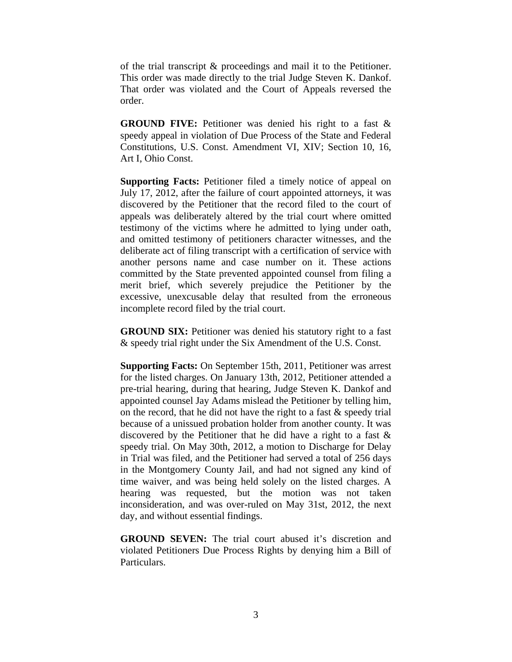of the trial transcript & proceedings and mail it to the Petitioner. This order was made directly to the trial Judge Steven K. Dankof. That order was violated and the Court of Appeals reversed the order.

**GROUND FIVE:** Petitioner was denied his right to a fast & speedy appeal in violation of Due Process of the State and Federal Constitutions, U.S. Const. Amendment VI, XIV; Section 10, 16, Art I, Ohio Const.

**Supporting Facts:** Petitioner filed a timely notice of appeal on July 17, 2012, after the failure of court appointed attorneys, it was discovered by the Petitioner that the record filed to the court of appeals was deliberately altered by the trial court where omitted testimony of the victims where he admitted to lying under oath, and omitted testimony of petitioners character witnesses, and the deliberate act of filing transcript with a certification of service with another persons name and case number on it. These actions committed by the State prevented appointed counsel from filing a merit brief, which severely prejudice the Petitioner by the excessive, unexcusable delay that resulted from the erroneous incomplete record filed by the trial court.

**GROUND SIX:** Petitioner was denied his statutory right to a fast & speedy trial right under the Six Amendment of the U.S. Const.

**Supporting Facts:** On September 15th, 2011, Petitioner was arrest for the listed charges. On January 13th, 2012, Petitioner attended a pre-trial hearing, during that hearing, Judge Steven K. Dankof and appointed counsel Jay Adams mislead the Petitioner by telling him, on the record, that he did not have the right to a fast  $\&$  speedy trial because of a unissued probation holder from another county. It was discovered by the Petitioner that he did have a right to a fast  $\&$ speedy trial. On May 30th, 2012, a motion to Discharge for Delay in Trial was filed, and the Petitioner had served a total of 256 days in the Montgomery County Jail, and had not signed any kind of time waiver, and was being held solely on the listed charges. A hearing was requested, but the motion was not taken inconsideration, and was over-ruled on May 31st, 2012, the next day, and without essential findings.

**GROUND SEVEN:** The trial court abused it's discretion and violated Petitioners Due Process Rights by denying him a Bill of Particulars.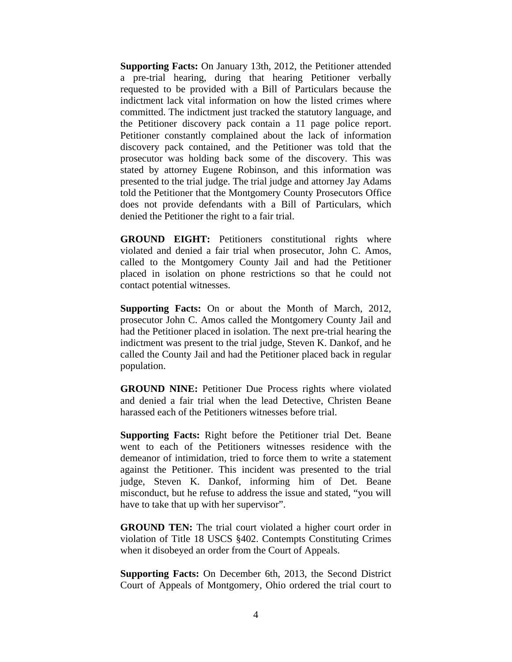**Supporting Facts:** On January 13th, 2012, the Petitioner attended a pre-trial hearing, during that hearing Petitioner verbally requested to be provided with a Bill of Particulars because the indictment lack vital information on how the listed crimes where committed. The indictment just tracked the statutory language, and the Petitioner discovery pack contain a 11 page police report. Petitioner constantly complained about the lack of information discovery pack contained, and the Petitioner was told that the prosecutor was holding back some of the discovery. This was stated by attorney Eugene Robinson, and this information was presented to the trial judge. The trial judge and attorney Jay Adams told the Petitioner that the Montgomery County Prosecutors Office does not provide defendants with a Bill of Particulars, which denied the Petitioner the right to a fair trial.

**GROUND EIGHT:** Petitioners constitutional rights where violated and denied a fair trial when prosecutor, John C. Amos, called to the Montgomery County Jail and had the Petitioner placed in isolation on phone restrictions so that he could not contact potential witnesses.

**Supporting Facts:** On or about the Month of March, 2012, prosecutor John C. Amos called the Montgomery County Jail and had the Petitioner placed in isolation. The next pre-trial hearing the indictment was present to the trial judge, Steven K. Dankof, and he called the County Jail and had the Petitioner placed back in regular population.

**GROUND NINE:** Petitioner Due Process rights where violated and denied a fair trial when the lead Detective, Christen Beane harassed each of the Petitioners witnesses before trial.

**Supporting Facts:** Right before the Petitioner trial Det. Beane went to each of the Petitioners witnesses residence with the demeanor of intimidation, tried to force them to write a statement against the Petitioner. This incident was presented to the trial judge, Steven K. Dankof, informing him of Det. Beane misconduct, but he refuse to address the issue and stated, "you will have to take that up with her supervisor".

**GROUND TEN:** The trial court violated a higher court order in violation of Title 18 USCS §402. Contempts Constituting Crimes when it disobeyed an order from the Court of Appeals.

**Supporting Facts:** On December 6th, 2013, the Second District Court of Appeals of Montgomery, Ohio ordered the trial court to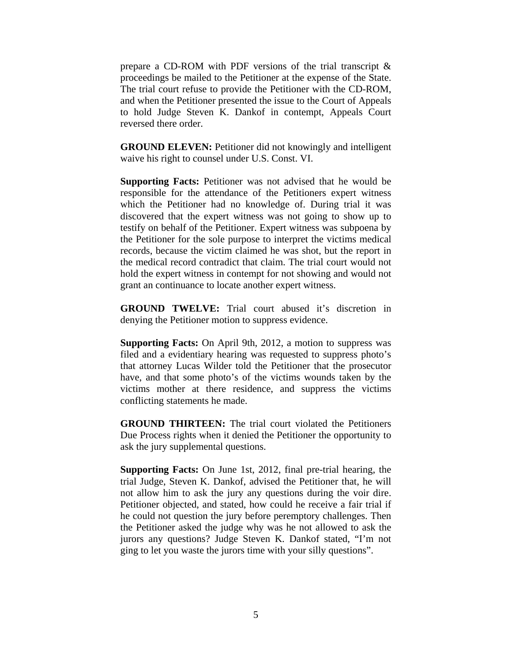prepare a CD-ROM with PDF versions of the trial transcript & proceedings be mailed to the Petitioner at the expense of the State. The trial court refuse to provide the Petitioner with the CD-ROM, and when the Petitioner presented the issue to the Court of Appeals to hold Judge Steven K. Dankof in contempt, Appeals Court reversed there order.

**GROUND ELEVEN:** Petitioner did not knowingly and intelligent waive his right to counsel under U.S. Const. VI.

**Supporting Facts:** Petitioner was not advised that he would be responsible for the attendance of the Petitioners expert witness which the Petitioner had no knowledge of. During trial it was discovered that the expert witness was not going to show up to testify on behalf of the Petitioner. Expert witness was subpoena by the Petitioner for the sole purpose to interpret the victims medical records, because the victim claimed he was shot, but the report in the medical record contradict that claim. The trial court would not hold the expert witness in contempt for not showing and would not grant an continuance to locate another expert witness.

**GROUND TWELVE:** Trial court abused it's discretion in denying the Petitioner motion to suppress evidence.

**Supporting Facts:** On April 9th, 2012, a motion to suppress was filed and a evidentiary hearing was requested to suppress photo's that attorney Lucas Wilder told the Petitioner that the prosecutor have, and that some photo's of the victims wounds taken by the victims mother at there residence, and suppress the victims conflicting statements he made.

**GROUND THIRTEEN:** The trial court violated the Petitioners Due Process rights when it denied the Petitioner the opportunity to ask the jury supplemental questions.

**Supporting Facts:** On June 1st, 2012, final pre-trial hearing, the trial Judge, Steven K. Dankof, advised the Petitioner that, he will not allow him to ask the jury any questions during the voir dire. Petitioner objected, and stated, how could he receive a fair trial if he could not question the jury before peremptory challenges. Then the Petitioner asked the judge why was he not allowed to ask the jurors any questions? Judge Steven K. Dankof stated, "I'm not ging to let you waste the jurors time with your silly questions".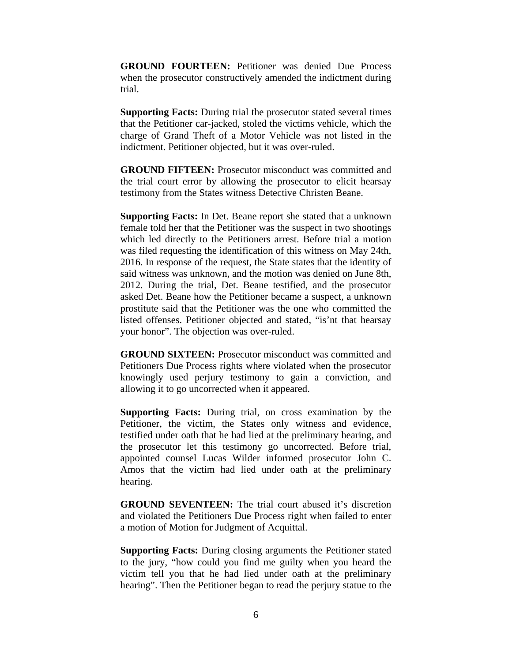**GROUND FOURTEEN:** Petitioner was denied Due Process when the prosecutor constructively amended the indictment during trial.

**Supporting Facts:** During trial the prosecutor stated several times that the Petitioner car-jacked, stoled the victims vehicle, which the charge of Grand Theft of a Motor Vehicle was not listed in the indictment. Petitioner objected, but it was over-ruled.

**GROUND FIFTEEN:** Prosecutor misconduct was committed and the trial court error by allowing the prosecutor to elicit hearsay testimony from the States witness Detective Christen Beane.

**Supporting Facts:** In Det. Beane report she stated that a unknown female told her that the Petitioner was the suspect in two shootings which led directly to the Petitioners arrest. Before trial a motion was filed requesting the identification of this witness on May 24th, 2016. In response of the request, the State states that the identity of said witness was unknown, and the motion was denied on June 8th, 2012. During the trial, Det. Beane testified, and the prosecutor asked Det. Beane how the Petitioner became a suspect, a unknown prostitute said that the Petitioner was the one who committed the listed offenses. Petitioner objected and stated, "is'nt that hearsay your honor". The objection was over-ruled.

**GROUND SIXTEEN:** Prosecutor misconduct was committed and Petitioners Due Process rights where violated when the prosecutor knowingly used perjury testimony to gain a conviction, and allowing it to go uncorrected when it appeared.

**Supporting Facts:** During trial, on cross examination by the Petitioner, the victim, the States only witness and evidence, testified under oath that he had lied at the preliminary hearing, and the prosecutor let this testimony go uncorrected. Before trial, appointed counsel Lucas Wilder informed prosecutor John C. Amos that the victim had lied under oath at the preliminary hearing.

**GROUND SEVENTEEN:** The trial court abused it's discretion and violated the Petitioners Due Process right when failed to enter a motion of Motion for Judgment of Acquittal.

**Supporting Facts:** During closing arguments the Petitioner stated to the jury, "how could you find me guilty when you heard the victim tell you that he had lied under oath at the preliminary hearing". Then the Petitioner began to read the perjury statue to the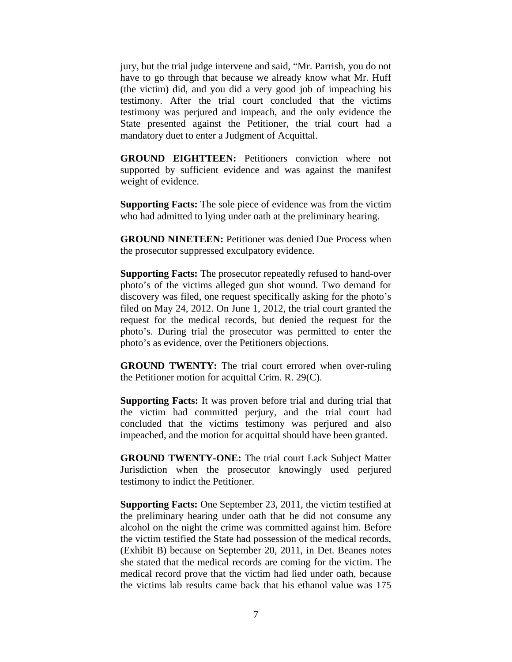jury, but the trial judge intervene and said, "Mr. Parrish, you do not have to go through that because we already know what Mr. Huff (the victim) did, and you did a very good job of impeaching his testimony. After the trial court concluded that the victims testimony was perjured and impeach, and the only evidence the State presented against the Petitioner, the trial court had a mandatory duet to enter a Judgment of Acquittal.

**GROUND EIGHTTEEN:** Petitioners conviction where not supported by sufficient evidence and was against the manifest weight of evidence.

**Supporting Facts:** The sole piece of evidence was from the victim who had admitted to lying under oath at the preliminary hearing.

**GROUND NINETEEN:** Petitioner was denied Due Process when the prosecutor suppressed exculpatory evidence.

**Supporting Facts:** The prosecutor repeatedly refused to hand-over photo's of the victims alleged gun shot wound. Two demand for discovery was filed, one request specifically asking for the photo's filed on May 24, 2012. On June 1, 2012, the trial court granted the request for the medical records, but denied the request for the photo's. During trial the prosecutor was permitted to enter the photo's as evidence, over the Petitioners objections.

**GROUND TWENTY:** The trial court errored when over-ruling the Petitioner motion for acquittal Crim. R. 29(C).

**Supporting Facts:** It was proven before trial and during trial that the victim had committed perjury, and the trial court had concluded that the victims testimony was perjured and also impeached, and the motion for acquittal should have been granted.

**GROUND TWENTY-ONE:** The trial court Lack Subject Matter Jurisdiction when the prosecutor knowingly used perjured testimony to indict the Petitioner.

**Supporting Facts:** One September 23, 2011, the victim testified at the preliminary hearing under oath that he did not consume any alcohol on the night the crime was committed against him. Before the victim testified the State had possession of the medical records, (Exhibit B) because on September 20, 2011, in Det. Beanes notes she stated that the medical records are coming for the victim. The medical record prove that the victim had lied under oath, because the victims lab results came back that his ethanol value was 175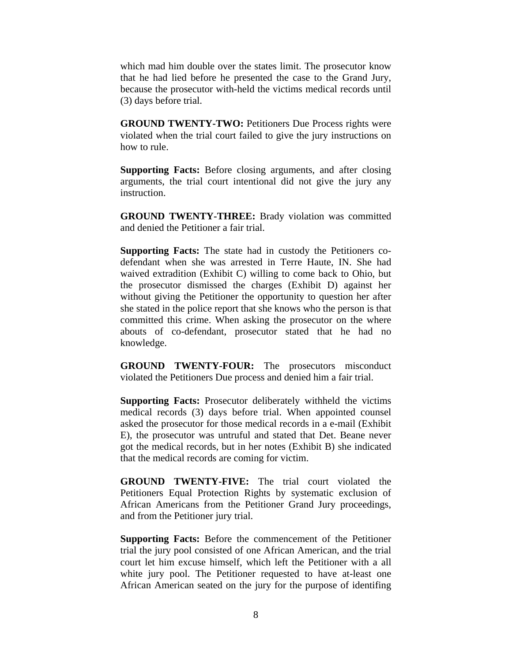which mad him double over the states limit. The prosecutor know that he had lied before he presented the case to the Grand Jury, because the prosecutor with-held the victims medical records until (3) days before trial.

**GROUND TWENTY-TWO:** Petitioners Due Process rights were violated when the trial court failed to give the jury instructions on how to rule.

**Supporting Facts:** Before closing arguments, and after closing arguments, the trial court intentional did not give the jury any instruction.

**GROUND TWENTY-THREE:** Brady violation was committed and denied the Petitioner a fair trial.

**Supporting Facts:** The state had in custody the Petitioners codefendant when she was arrested in Terre Haute, IN. She had waived extradition (Exhibit C) willing to come back to Ohio, but the prosecutor dismissed the charges (Exhibit D) against her without giving the Petitioner the opportunity to question her after she stated in the police report that she knows who the person is that committed this crime. When asking the prosecutor on the where abouts of co-defendant, prosecutor stated that he had no knowledge.

**GROUND TWENTY-FOUR:** The prosecutors misconduct violated the Petitioners Due process and denied him a fair trial.

**Supporting Facts:** Prosecutor deliberately withheld the victims medical records (3) days before trial. When appointed counsel asked the prosecutor for those medical records in a e-mail (Exhibit E), the prosecutor was untruful and stated that Det. Beane never got the medical records, but in her notes (Exhibit B) she indicated that the medical records are coming for victim.

**GROUND TWENTY-FIVE:** The trial court violated the Petitioners Equal Protection Rights by systematic exclusion of African Americans from the Petitioner Grand Jury proceedings, and from the Petitioner jury trial.

**Supporting Facts:** Before the commencement of the Petitioner trial the jury pool consisted of one African American, and the trial court let him excuse himself, which left the Petitioner with a all white jury pool. The Petitioner requested to have at-least one African American seated on the jury for the purpose of identifing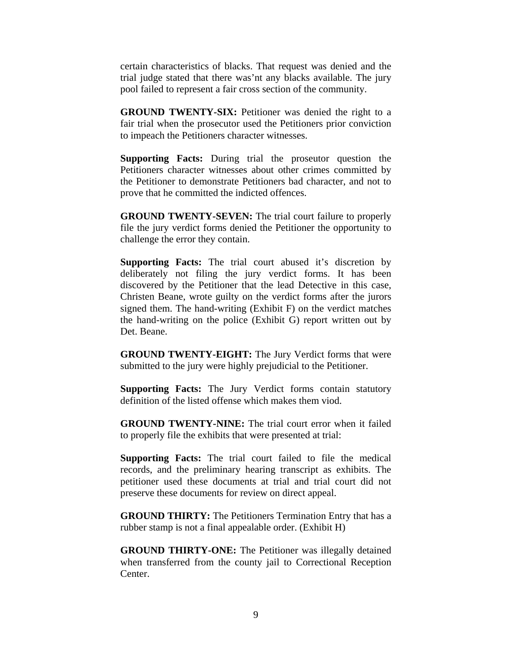certain characteristics of blacks. That request was denied and the trial judge stated that there was'nt any blacks available. The jury pool failed to represent a fair cross section of the community.

**GROUND TWENTY-SIX:** Petitioner was denied the right to a fair trial when the prosecutor used the Petitioners prior conviction to impeach the Petitioners character witnesses.

**Supporting Facts:** During trial the proseutor question the Petitioners character witnesses about other crimes committed by the Petitioner to demonstrate Petitioners bad character, and not to prove that he committed the indicted offences.

**GROUND TWENTY-SEVEN:** The trial court failure to properly file the jury verdict forms denied the Petitioner the opportunity to challenge the error they contain.

**Supporting Facts:** The trial court abused it's discretion by deliberately not filing the jury verdict forms. It has been discovered by the Petitioner that the lead Detective in this case, Christen Beane, wrote guilty on the verdict forms after the jurors signed them. The hand-writing (Exhibit F) on the verdict matches the hand-writing on the police (Exhibit G) report written out by Det. Beane.

**GROUND TWENTY-EIGHT:** The Jury Verdict forms that were submitted to the jury were highly prejudicial to the Petitioner.

**Supporting Facts:** The Jury Verdict forms contain statutory definition of the listed offense which makes them viod.

**GROUND TWENTY-NINE:** The trial court error when it failed to properly file the exhibits that were presented at trial:

**Supporting Facts:** The trial court failed to file the medical records, and the preliminary hearing transcript as exhibits. The petitioner used these documents at trial and trial court did not preserve these documents for review on direct appeal.

**GROUND THIRTY:** The Petitioners Termination Entry that has a rubber stamp is not a final appealable order. (Exhibit H)

**GROUND THIRTY-ONE:** The Petitioner was illegally detained when transferred from the county jail to Correctional Reception Center.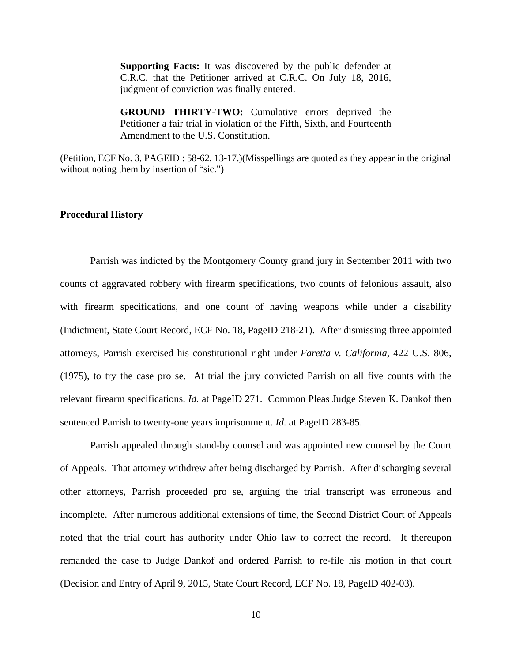**Supporting Facts:** It was discovered by the public defender at C.R.C. that the Petitioner arrived at C.R.C. On July 18, 2016, judgment of conviction was finally entered.

**GROUND THIRTY-TWO:** Cumulative errors deprived the Petitioner a fair trial in violation of the Fifth, Sixth, and Fourteenth Amendment to the U.S. Constitution.

(Petition, ECF No. 3, PAGEID : 58-62, 13-17.)(Misspellings are quoted as they appear in the original without noting them by insertion of "sic.")

#### **Procedural History**

 Parrish was indicted by the Montgomery County grand jury in September 2011 with two counts of aggravated robbery with firearm specifications, two counts of felonious assault, also with firearm specifications, and one count of having weapons while under a disability (Indictment, State Court Record, ECF No. 18, PageID 218-21). After dismissing three appointed attorneys, Parrish exercised his constitutional right under *Faretta v. California*, 422 U.S. 806, (1975), to try the case pro se. At trial the jury convicted Parrish on all five counts with the relevant firearm specifications. *Id.* at PageID 271. Common Pleas Judge Steven K. Dankof then sentenced Parrish to twenty-one years imprisonment. *Id.* at PageID 283-85.

 Parrish appealed through stand-by counsel and was appointed new counsel by the Court of Appeals. That attorney withdrew after being discharged by Parrish. After discharging several other attorneys, Parrish proceeded pro se, arguing the trial transcript was erroneous and incomplete. After numerous additional extensions of time, the Second District Court of Appeals noted that the trial court has authority under Ohio law to correct the record. It thereupon remanded the case to Judge Dankof and ordered Parrish to re-file his motion in that court (Decision and Entry of April 9, 2015, State Court Record, ECF No. 18, PageID 402-03).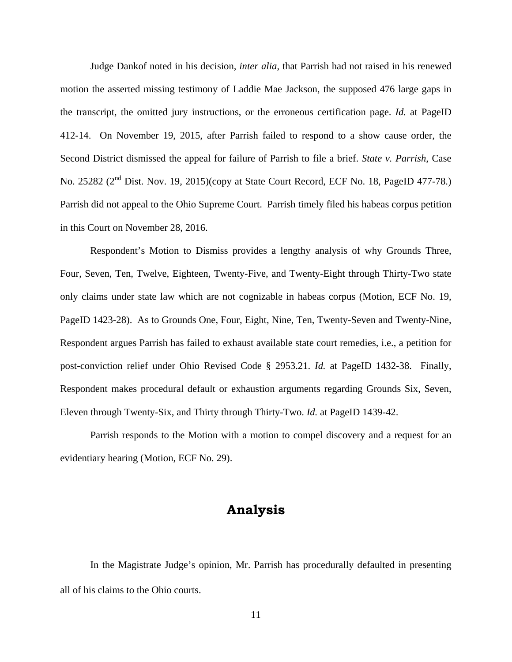Judge Dankof noted in his decision, *inter alia*, that Parrish had not raised in his renewed motion the asserted missing testimony of Laddie Mae Jackson, the supposed 476 large gaps in the transcript, the omitted jury instructions, or the erroneous certification page. *Id.* at PageID 412-14. On November 19, 2015, after Parrish failed to respond to a show cause order, the Second District dismissed the appeal for failure of Parrish to file a brief. *State v. Parrish*, Case No. 25282 (2nd Dist. Nov. 19, 2015)(copy at State Court Record, ECF No. 18, PageID 477-78.) Parrish did not appeal to the Ohio Supreme Court. Parrish timely filed his habeas corpus petition in this Court on November 28, 2016.

 Respondent's Motion to Dismiss provides a lengthy analysis of why Grounds Three, Four, Seven, Ten, Twelve, Eighteen, Twenty-Five, and Twenty-Eight through Thirty-Two state only claims under state law which are not cognizable in habeas corpus (Motion, ECF No. 19, PageID 1423-28). As to Grounds One, Four, Eight, Nine, Ten, Twenty-Seven and Twenty-Nine, Respondent argues Parrish has failed to exhaust available state court remedies, i.e., a petition for post-conviction relief under Ohio Revised Code § 2953.21. *Id.* at PageID 1432-38. Finally, Respondent makes procedural default or exhaustion arguments regarding Grounds Six, Seven, Eleven through Twenty-Six, and Thirty through Thirty-Two. *Id.* at PageID 1439-42.

 Parrish responds to the Motion with a motion to compel discovery and a request for an evidentiary hearing (Motion, ECF No. 29).

# **Analysis**

 In the Magistrate Judge's opinion, Mr. Parrish has procedurally defaulted in presenting all of his claims to the Ohio courts.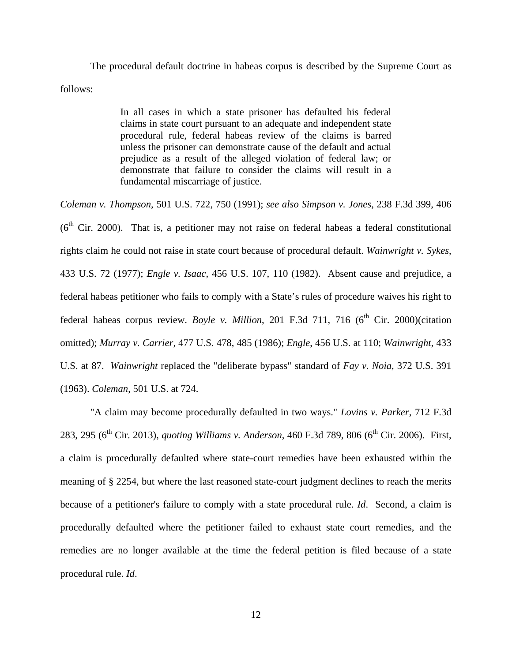The procedural default doctrine in habeas corpus is described by the Supreme Court as follows:

> In all cases in which a state prisoner has defaulted his federal claims in state court pursuant to an adequate and independent state procedural rule, federal habeas review of the claims is barred unless the prisoner can demonstrate cause of the default and actual prejudice as a result of the alleged violation of federal law; or demonstrate that failure to consider the claims will result in a fundamental miscarriage of justice.

*Coleman v. Thompson*, 501 U.S. 722, 750 (1991); *see also Simpson v. Jones*, 238 F.3d 399, 406  $(6<sup>th</sup> Cir. 2000)$ . That is, a petitioner may not raise on federal habeas a federal constitutional rights claim he could not raise in state court because of procedural default. *Wainwright v. Sykes*, 433 U.S. 72 (1977); *Engle v. Isaac*, 456 U.S. 107, 110 (1982). Absent cause and prejudice, a federal habeas petitioner who fails to comply with a State's rules of procedure waives his right to federal habeas corpus review. *Boyle v. Million*, 201 F.3d 711, 716 ( $6<sup>th</sup>$  Cir. 2000)(citation omitted); *Murray v. Carrier*, 477 U.S. 478, 485 (1986); *Engle*, 456 U.S. at 110; *Wainwright*, 433 U.S. at 87. *Wainwright* replaced the "deliberate bypass" standard of *Fay v. Noia*, 372 U.S. 391 (1963). *Coleman*, 501 U.S. at 724.

"A claim may become procedurally defaulted in two ways." *Lovins v. Parker*, 712 F.3d 283, 295 (6<sup>th</sup> Cir. 2013), *quoting Williams v. Anderson*, 460 F.3d 789, 806 (6<sup>th</sup> Cir. 2006). First, a claim is procedurally defaulted where state-court remedies have been exhausted within the meaning of § 2254, but where the last reasoned state-court judgment declines to reach the merits because of a petitioner's failure to comply with a state procedural rule. *Id*. Second, a claim is procedurally defaulted where the petitioner failed to exhaust state court remedies, and the remedies are no longer available at the time the federal petition is filed because of a state procedural rule. *Id*.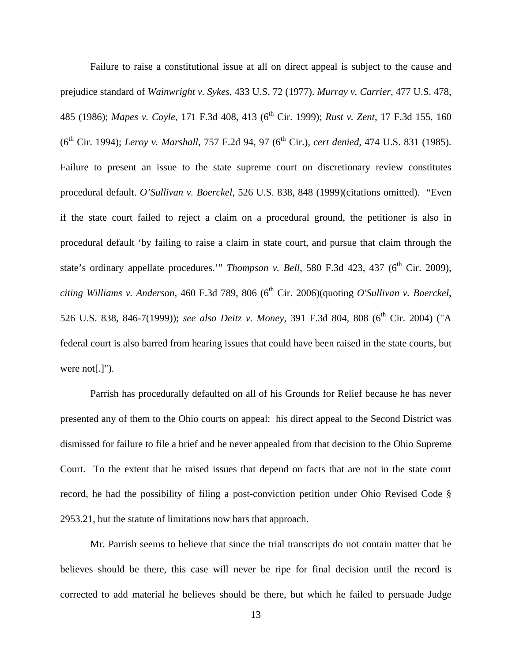Failure to raise a constitutional issue at all on direct appeal is subject to the cause and prejudice standard of *Wainwright v. Sykes*, 433 U.S. 72 (1977). *Murray v. Carrier*, 477 U.S. 478, 485 (1986); *Mapes v. Coyle*, 171 F.3d 408, 413 (6<sup>th</sup> Cir. 1999); *Rust v. Zent*, 17 F.3d 155, 160 (6<sup>th</sup> Cir. 1994); *Leroy v. Marshall*, 757 F.2d 94, 97 (6<sup>th</sup> Cir.), *cert denied*, 474 U.S. 831 (1985). Failure to present an issue to the state supreme court on discretionary review constitutes procedural default. *O'Sullivan v. Boerckel*, 526 U.S. 838, 848 (1999)(citations omitted). "Even if the state court failed to reject a claim on a procedural ground, the petitioner is also in procedural default 'by failing to raise a claim in state court, and pursue that claim through the state's ordinary appellate procedures."" *Thompson v. Bell*, 580 F.3d 423, 437 (6<sup>th</sup> Cir. 2009), *citing Williams v. Anderson*, 460 F.3d 789, 806 (6<sup>th</sup> Cir. 2006)(quoting *O'Sullivan v. Boerckel*, 526 U.S. 838, 846-7(1999)); *see also Deitz v. Money*, 391 F.3d 804, 808 (6th Cir. 2004) ("A federal court is also barred from hearing issues that could have been raised in the state courts, but were not[.]").

 Parrish has procedurally defaulted on all of his Grounds for Relief because he has never presented any of them to the Ohio courts on appeal: his direct appeal to the Second District was dismissed for failure to file a brief and he never appealed from that decision to the Ohio Supreme Court. To the extent that he raised issues that depend on facts that are not in the state court record, he had the possibility of filing a post-conviction petition under Ohio Revised Code § 2953.21, but the statute of limitations now bars that approach.

 Mr. Parrish seems to believe that since the trial transcripts do not contain matter that he believes should be there, this case will never be ripe for final decision until the record is corrected to add material he believes should be there, but which he failed to persuade Judge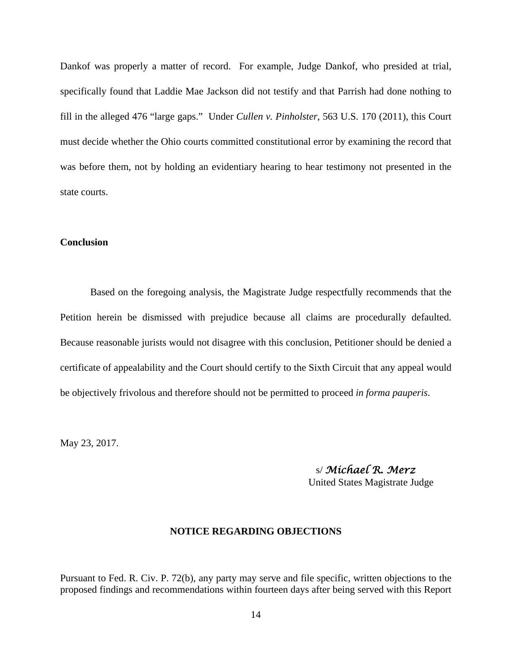Dankof was properly a matter of record. For example, Judge Dankof, who presided at trial, specifically found that Laddie Mae Jackson did not testify and that Parrish had done nothing to fill in the alleged 476 "large gaps." Under *Cullen v. Pinholster*, 563 U.S. 170 (2011), this Court must decide whether the Ohio courts committed constitutional error by examining the record that was before them, not by holding an evidentiary hearing to hear testimony not presented in the state courts.

### **Conclusion**

 Based on the foregoing analysis, the Magistrate Judge respectfully recommends that the Petition herein be dismissed with prejudice because all claims are procedurally defaulted. Because reasonable jurists would not disagree with this conclusion, Petitioner should be denied a certificate of appealability and the Court should certify to the Sixth Circuit that any appeal would be objectively frivolous and therefore should not be permitted to proceed *in forma pauperis*.

May 23, 2017.

s/ *Michael R. Merz*

United States Magistrate Judge

## **NOTICE REGARDING OBJECTIONS**

Pursuant to Fed. R. Civ. P. 72(b), any party may serve and file specific, written objections to the proposed findings and recommendations within fourteen days after being served with this Report